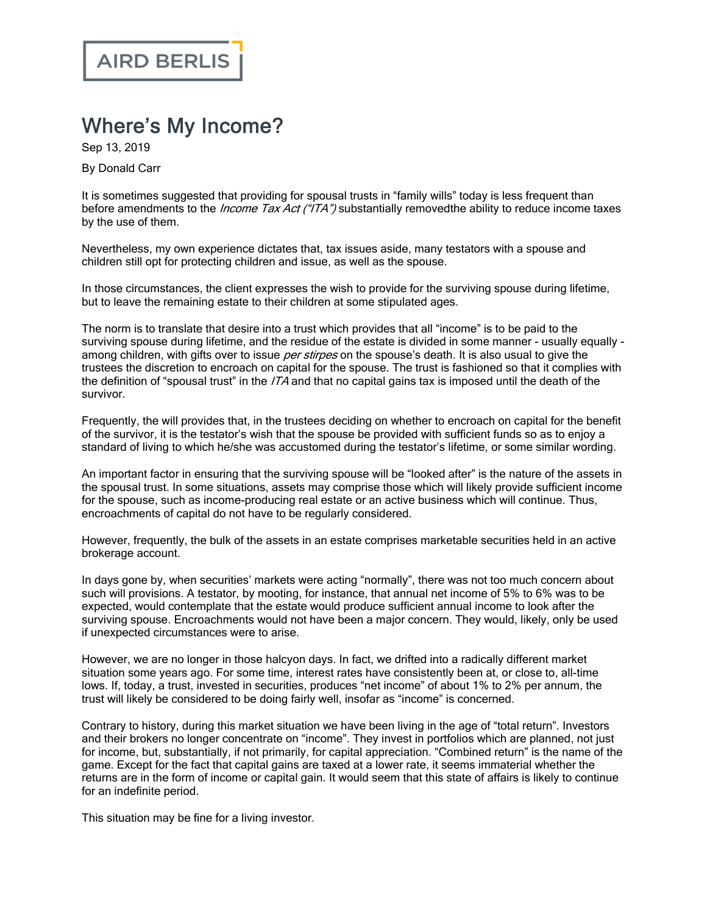## Where's My Income?

Sep 13, 2019

By Donald Carr

It is sometimes suggested that providing for spousal trusts in "family wills" today is less frequent than before amendments to the *Income Tax Act ("ITA")* substantially removedthe ability to reduce income taxes by the use of them.

Nevertheless, my own experience dictates that, tax issues aside, many testators with a spouse and children still opt for protecting children and issue, as well as the spouse.

In those circumstances, the client expresses the wish to provide for the surviving spouse during lifetime, but to leave the remaining estate to their children at some stipulated ages.

The norm is to translate that desire into a trust which provides that all "income" is to be paid to the surviving spouse during lifetime, and the residue of the estate is divided in some manner - usually equally among children, with gifts over to issue *per stirpes* on the spouse's death. It is also usual to give the trustees the discretion to encroach on capital for the spouse. The trust is fashioned so that it complies with the definition of "spousal trust" in the *ITA* and that no capital gains tax is imposed until the death of the survivor.

Frequently, the will provides that, in the trustees deciding on whether to encroach on capital for the benefit of the survivor, it is the testator's wish that the spouse be provided with sufficient funds so as to enjoy a standard of living to which he/she was accustomed during the testator's lifetime, or some similar wording.

An important factor in ensuring that the surviving spouse will be "looked after" is the nature of the assets in the spousal trust. In some situations, assets may comprise those which will likely provide sufficient income for the spouse, such as income-producing real estate or an active business which will continue. Thus, encroachments of capital do not have to be regularly considered.

However, frequently, the bulk of the assets in an estate comprises marketable securities held in an active brokerage account.

In days gone by, when securities' markets were acting "normally", there was not too much concern about such will provisions. A testator, by mooting, for instance, that annual net income of 5% to 6% was to be expected, would contemplate that the estate would produce sufficient annual income to look after the surviving spouse. Encroachments would not have been a major concern. They would, likely, only be used if unexpected circumstances were to arise.

However, we are no longer in those halcyon days. In fact, we drifted into a radically different market situation some years ago. For some time, interest rates have consistently been at, or close to, all-time lows. If, today, a trust, invested in securities, produces "net income" of about 1% to 2% per annum, the trust will likely be considered to be doing fairly well, insofar as "income" is concerned.

Contrary to history, during this market situation we have been living in the age of "total return". Investors and their brokers no longer concentrate on "income". They invest in portfolios which are planned, not just for income, but, substantially, if not primarily, for capital appreciation. "Combined return" is the name of the game. Except for the fact that capital gains are taxed at a lower rate, it seems immaterial whether the returns are in the form of income or capital gain. It would seem that this state of affairs is likely to continue for an indefinite period.

This situation may be fine for a living investor.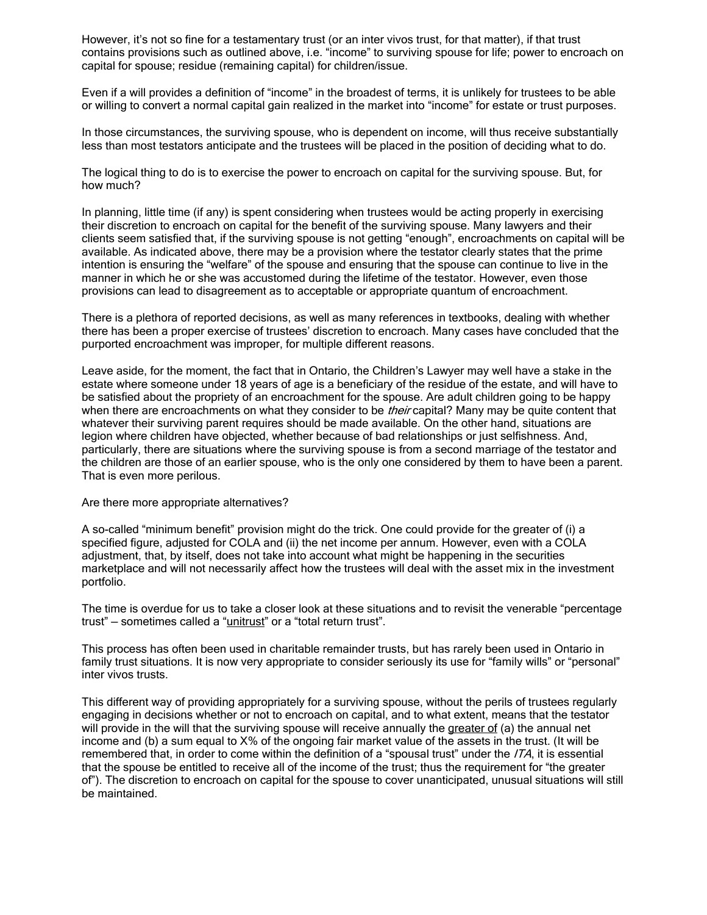However, it's not so fine for a testamentary trust (or an inter vivos trust, for that matter), if that trust contains provisions such as outlined above, i.e. "income" to surviving spouse for life; power to encroach on capital for spouse; residue (remaining capital) for children/issue.

Even if a will provides a definition of "income" in the broadest of terms, it is unlikely for trustees to be able or willing to convert a normal capital gain realized in the market into "income" for estate or trust purposes.

In those circumstances, the surviving spouse, who is dependent on income, will thus receive substantially less than most testators anticipate and the trustees will be placed in the position of deciding what to do.

The logical thing to do is to exercise the power to encroach on capital for the surviving spouse. But, for how much?

In planning, little time (if any) is spent considering when trustees would be acting properly in exercising their discretion to encroach on capital for the benefit of the surviving spouse. Many lawyers and their clients seem satisfied that, if the surviving spouse is not getting "enough", encroachments on capital will be available. As indicated above, there may be a provision where the testator clearly states that the prime intention is ensuring the "welfare" of the spouse and ensuring that the spouse can continue to live in the manner in which he or she was accustomed during the lifetime of the testator. However, even those provisions can lead to disagreement as to acceptable or appropriate quantum of encroachment.

There is a plethora of reported decisions, as well as many references in textbooks, dealing with whether there has been a proper exercise of trustees' discretion to encroach. Many cases have concluded that the purported encroachment was improper, for multiple different reasons.

Leave aside, for the moment, the fact that in Ontario, the Children's Lawyer may well have a stake in the estate where someone under 18 years of age is a beneficiary of the residue of the estate, and will have to be satisfied about the propriety of an encroachment for the spouse. Are adult children going to be happy when there are encroachments on what they consider to be *their* capital? Many may be quite content that whatever their surviving parent requires should be made available. On the other hand, situations are legion where children have objected, whether because of bad relationships or just selfishness. And, particularly, there are situations where the surviving spouse is from a second marriage of the testator and the children are those of an earlier spouse, who is the only one considered by them to have been a parent. That is even more perilous.

Are there more appropriate alternatives?

A so-called "minimum benefit" provision might do the trick. One could provide for the greater of (i) a specified figure, adjusted for COLA and (ii) the net income per annum. However, even with a COLA adjustment, that, by itself, does not take into account what might be happening in the securities marketplace and will not necessarily affect how the trustees will deal with the asset mix in the investment portfolio.

The time is overdue for us to take a closer look at these situations and to revisit the venerable "percentage trust" — sometimes called a "unitrust" or a "total return trust".

This process has often been used in charitable remainder trusts, but has rarely been used in Ontario in family trust situations. It is now very appropriate to consider seriously its use for "family wills" or "personal" inter vivos trusts.

This different way of providing appropriately for a surviving spouse, without the perils of trustees regularly engaging in decisions whether or not to encroach on capital, and to what extent, means that the testator will provide in the will that the surviving spouse will receive annually the greater of (a) the annual net income and (b) a sum equal to X% of the ongoing fair market value of the assets in the trust. (It will be remembered that, in order to come within the definition of a "spousal trust" under the /TA, it is essential that the spouse be entitled to receive all of the income of the trust; thus the requirement for "the greater of"). The discretion to encroach on capital for the spouse to cover unanticipated, unusual situations will still be maintained.